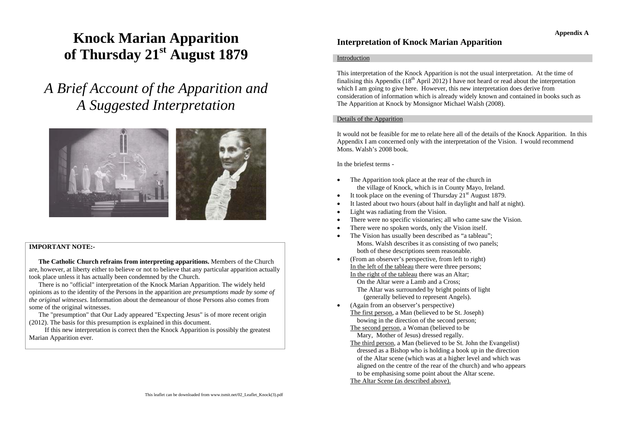# **Knock Marian Apparition of Thursday 21st August 1879**

*A Brief Account of the Apparition and A Suggested Interpretation*



## **IMPORTANT NOTE:-**

**The Catholic Church refrains from interpreting apparitions.** Members of the Church are, however, at liberty either to believe or not to believe that any particular apparition actually took place unless it has actually been condemned by the Church.

There is no "official" interpretation of the Knock Marian Apparition. The widely held opinions as to the identity of the Persons in the apparition are *presumptions made by some of the original witnesses*. Information about the demeanour of those Persons also comes from some of the original witnesses.

The "presumption" that Our Lady appeared "Expecting Jesus" is of more recent origin (2012). The basis for this presumption is explained in this document.

If this new interpretation is correct then the Knock Apparition is possibly the greatest Marian Apparition ever.

# **Interpretation of Knock Marian Apparition**

#### **Introduction**

This interpretation of the Knock Apparition is not the usual interpretation. At the time of finalising this Appendix  $(18<sup>th</sup>$  April 2012) I have not heard or read about the interpretation which I am going to give here. However, this new interpretation does derive from consideration of information which is already widely known and contained in books such as The Apparition at Knock by Monsignor Michael Walsh (2008).

#### Details of the Apparition

It would not be feasible for me to relate here all of the details of the Knock Apparition. In this Appendix I am concerned only with the interpretation of the Vision. I would recommend Mons. Walsh's 2008 book.

In the briefest terms -

•

- • The Apparition took place at the rear of the church in the village of Knock, which is in County Mayo, Ireland.
- •It took place on the evening of Thursday  $21<sup>st</sup>$  August 1879.
- •It lasted about two hours (about half in daylight and half at night).
- •Light was radiating from the Vision.
- •There were no specific visionaries; all who came saw the Vision.
- •There were no spoken words, only the Vision itself.
- • The Vision has usually been described as "a tableau"; Mons. Walsh describes it as consisting of two panels; both of these descriptions seem reasonable.
- (From an observer's perspective, from left to right) In the left of the tableau there were three persons; In the right of the tableau there was an Altar; On the Altar were a Lamb and a Cross; The Altar was surrounded by bright points of light (generally believed to represent Angels).
- • (Again from an observer's perspective) The first person, a Man (believed to be St. Joseph) bowing in the direction of the second person;
	- The second person, a Woman (believed to be Mary, Mother of Jesus) dressed regally.
	- The third person, a Man (believed to be St. John the Evangelist) dressed as a Bishop who is holding a book up in the direction of the Altar scene (which was at a higher level and which was aligned on the centre of the rear of the church) and who appears to be emphasising some point about the Altar scene.
	- The Altar Scene (as described above).